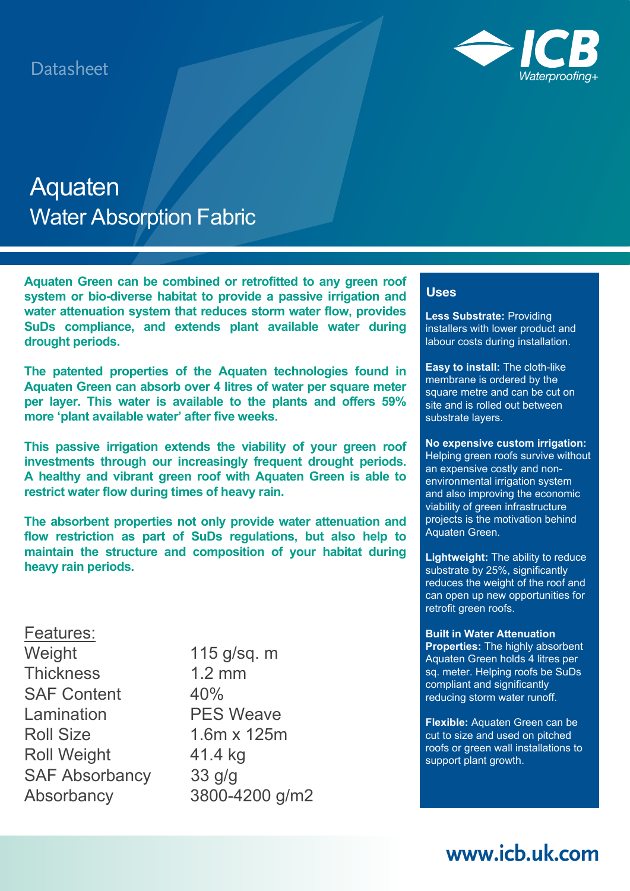

# Aquaten Water Absorption Fabric

**Aquaten Green can be combined or retrofitted to any green roof system or bio-diverse habitat to provide a passive irrigation and water attenuation system that reduces storm water flow, provides SuDs compliance, and extends plant available water during drought periods.** 

**The patented properties of the Aquaten technologies found in Aquaten Green can absorb over 4 litres of water per square meter per layer. This water is available to the plants and offers 59% more 'plant available water' after five weeks.**

**This passive irrigation extends the viability of your green roof investments through our increasingly frequent drought periods. A healthy and vibrant green roof with Aquaten Green is able to restrict water flow during times of heavy rain.** 

**The absorbent properties not only provide water attenuation and flow restriction as part of SuDs regulations, but also help to maintain the structure and composition of your habitat during heavy rain periods.**

### Features:

25 Weight 115 g/sq. m Thickness 1.2 mm SAF Content 40% Lamination PES Weave Roll Size 1.6m x 125m Roll Weight 41.4 kg SAF Absorbancy 33 g/g Absorbancy 3800-4200 g/m2

#### **Uses**

**Less Substrate:** Providing installers with lower product and labour costs during installation.

**Easy to install:** The cloth-like membrane is ordered by the square metre and can be cut on site and is rolled out between substrate layers.

**No expensive custom irrigation:** Helping green roofs survive without an expensive costly and nonenvironmental irrigation system and also improving the economic viability of green infrastructure projects is the motivation behind Aquaten Green.

**Lightweight:** The ability to reduce substrate by 25%, significantly reduces the weight of the roof and can open up new opportunities for retrofit green roofs.

#### **Built in Water Attenuation**

**Properties:** The highly absorbent Aquaten Green holds 4 litres per sq. meter. Helping roofs be SuDs compliant and significantly reducing storm water runoff.

**Flexible:** Aquaten Green can be cut to size and used on pitched roofs or green wall installations to support plant growth.

### **www.icb.uk.com**